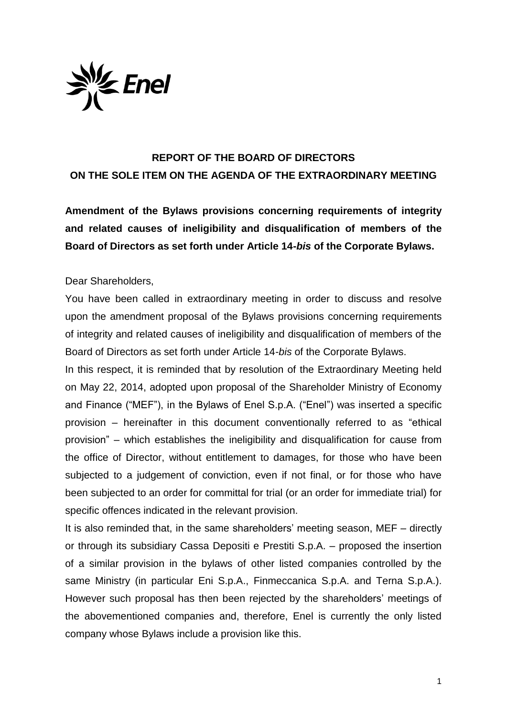

## **REPORT OF THE BOARD OF DIRECTORS ON THE SOLE ITEM ON THE AGENDA OF THE EXTRAORDINARY MEETING**

**Amendment of the Bylaws provisions concerning requirements of integrity and related causes of ineligibility and disqualification of members of the Board of Directors as set forth under Article 14-***bis* **of the Corporate Bylaws.**

## Dear Shareholders,

You have been called in extraordinary meeting in order to discuss and resolve upon the amendment proposal of the Bylaws provisions concerning requirements of integrity and related causes of ineligibility and disqualification of members of the Board of Directors as set forth under Article 14-*bis* of the Corporate Bylaws.

In this respect, it is reminded that by resolution of the Extraordinary Meeting held on May 22, 2014, adopted upon proposal of the Shareholder Ministry of Economy and Finance ("MEF"), in the Bylaws of Enel S.p.A. ("Enel") was inserted a specific provision – hereinafter in this document conventionally referred to as "ethical provision" – which establishes the ineligibility and disqualification for cause from the office of Director, without entitlement to damages, for those who have been subjected to a judgement of conviction, even if not final, or for those who have been subjected to an order for committal for trial (or an order for immediate trial) for specific offences indicated in the relevant provision.

It is also reminded that, in the same shareholders' meeting season, MEF – directly or through its subsidiary Cassa Depositi e Prestiti S.p.A. – proposed the insertion of a similar provision in the bylaws of other listed companies controlled by the same Ministry (in particular Eni S.p.A., Finmeccanica S.p.A. and Terna S.p.A.). However such proposal has then been rejected by the shareholders' meetings of the abovementioned companies and, therefore, Enel is currently the only listed company whose Bylaws include a provision like this.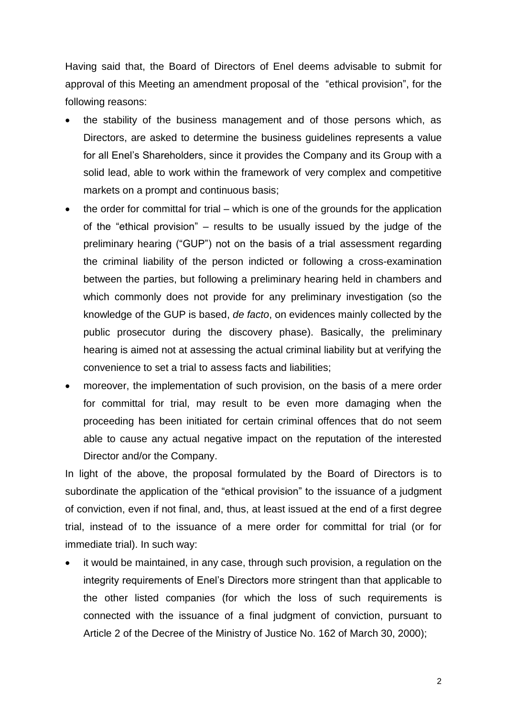Having said that, the Board of Directors of Enel deems advisable to submit for approval of this Meeting an amendment proposal of the "ethical provision", for the following reasons:

- the stability of the business management and of those persons which, as Directors, are asked to determine the business guidelines represents a value for all Enel's Shareholders, since it provides the Company and its Group with a solid lead, able to work within the framework of very complex and competitive markets on a prompt and continuous basis;
- the order for committal for trial which is one of the grounds for the application of the "ethical provision" – results to be usually issued by the judge of the preliminary hearing ("GUP") not on the basis of a trial assessment regarding the criminal liability of the person indicted or following a cross-examination between the parties, but following a preliminary hearing held in chambers and which commonly does not provide for any preliminary investigation (so the knowledge of the GUP is based, *de facto*, on evidences mainly collected by the public prosecutor during the discovery phase). Basically, the preliminary hearing is aimed not at assessing the actual criminal liability but at verifying the convenience to set a trial to assess facts and liabilities;
- moreover, the implementation of such provision, on the basis of a mere order for committal for trial, may result to be even more damaging when the proceeding has been initiated for certain criminal offences that do not seem able to cause any actual negative impact on the reputation of the interested Director and/or the Company.

In light of the above, the proposal formulated by the Board of Directors is to subordinate the application of the "ethical provision" to the issuance of a judgment of conviction, even if not final, and, thus, at least issued at the end of a first degree trial, instead of to the issuance of a mere order for committal for trial (or for immediate trial). In such way:

 it would be maintained, in any case, through such provision, a regulation on the integrity requirements of Enel's Directors more stringent than that applicable to the other listed companies (for which the loss of such requirements is connected with the issuance of a final judgment of conviction, pursuant to Article 2 of the Decree of the Ministry of Justice No. 162 of March 30, 2000);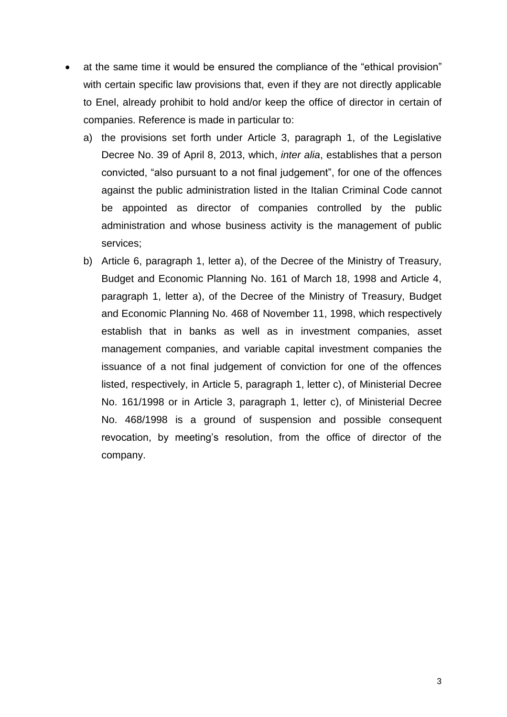- at the same time it would be ensured the compliance of the "ethical provision" with certain specific law provisions that, even if they are not directly applicable to Enel, already prohibit to hold and/or keep the office of director in certain of companies. Reference is made in particular to:
	- a) the provisions set forth under Article 3, paragraph 1, of the Legislative Decree No. 39 of April 8, 2013, which, *inter alia*, establishes that a person convicted, "also pursuant to a not final judgement", for one of the offences against the public administration listed in the Italian Criminal Code cannot be appointed as director of companies controlled by the public administration and whose business activity is the management of public services;
	- b) Article 6, paragraph 1, letter a), of the Decree of the Ministry of Treasury, Budget and Economic Planning No. 161 of March 18, 1998 and Article 4, paragraph 1, letter a), of the Decree of the Ministry of Treasury, Budget and Economic Planning No. 468 of November 11, 1998, which respectively establish that in banks as well as in investment companies, asset management companies, and variable capital investment companies the issuance of a not final judgement of conviction for one of the offences listed, respectively, in Article 5, paragraph 1, letter c), of Ministerial Decree No. 161/1998 or in Article 3, paragraph 1, letter c), of Ministerial Decree No. 468/1998 is a ground of suspension and possible consequent revocation, by meeting's resolution, from the office of director of the company.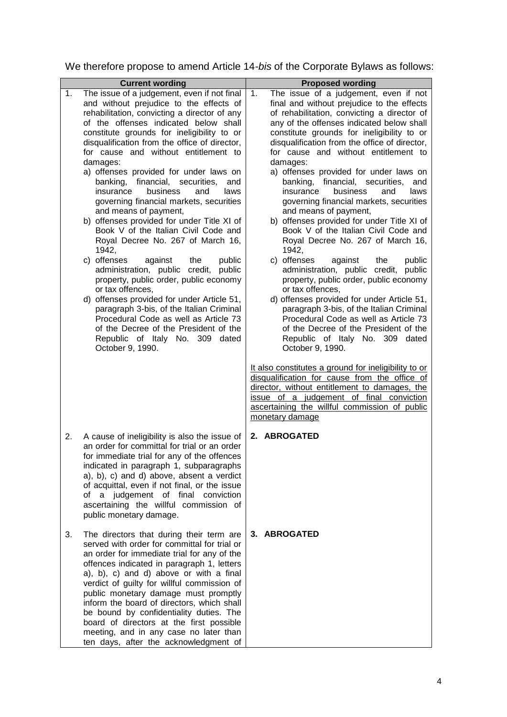We therefore propose to amend Article 14-*bis* of the Corporate Bylaws as follows:

| 1. | <b>Current wording</b><br>The issue of a judgement, even if not final                                                                                                                                                                                                                                                                                                                                                                                                                                                                                                                                                   | <b>Proposed wording</b><br>The issue of a judgement, even if not<br>1.                                                                                                                                                                                                                                                                                                                                                                                                                                                                                                                                                        |
|----|-------------------------------------------------------------------------------------------------------------------------------------------------------------------------------------------------------------------------------------------------------------------------------------------------------------------------------------------------------------------------------------------------------------------------------------------------------------------------------------------------------------------------------------------------------------------------------------------------------------------------|-------------------------------------------------------------------------------------------------------------------------------------------------------------------------------------------------------------------------------------------------------------------------------------------------------------------------------------------------------------------------------------------------------------------------------------------------------------------------------------------------------------------------------------------------------------------------------------------------------------------------------|
|    | and without prejudice to the effects of<br>rehabilitation, convicting a director of any<br>of the offenses indicated below shall<br>constitute grounds for ineligibility to or<br>disqualification from the office of director,<br>for cause and without entitlement to<br>damages:<br>a) offenses provided for under laws on<br>banking, financial, securities,<br>and<br>business<br>insurance<br>and<br>laws<br>governing financial markets, securities<br>and means of payment,<br>b) offenses provided for under Title XI of<br>Book V of the Italian Civil Code and<br>Royal Decree No. 267 of March 16,<br>1942, | final and without prejudice to the effects<br>of rehabilitation, convicting a director of<br>any of the offenses indicated below shall<br>constitute grounds for ineligibility to or<br>disqualification from the office of director,<br>for cause and without entitlement to<br>damages:<br>a) offenses provided for under laws on<br>banking, financial, securities,<br>and<br>business<br>and<br>insurance<br>laws<br>governing financial markets, securities<br>and means of payment,<br>b) offenses provided for under Title XI of<br>Book V of the Italian Civil Code and<br>Royal Decree No. 267 of March 16,<br>1942, |
|    | c) offenses<br>against<br>the<br>public<br>administration, public credit, public<br>property, public order, public economy<br>or tax offences,<br>d) offenses provided for under Article 51,<br>paragraph 3-bis, of the Italian Criminal<br>Procedural Code as well as Article 73<br>of the Decree of the President of the<br>Republic of Italy No. 309 dated<br>October 9, 1990.                                                                                                                                                                                                                                       | c) offenses<br>against<br>the<br>public<br>administration, public credit, public<br>property, public order, public economy<br>or tax offences,<br>d) offenses provided for under Article 51,<br>paragraph 3-bis, of the Italian Criminal<br>Procedural Code as well as Article 73<br>of the Decree of the President of the<br>Republic of Italy No. 309 dated<br>October 9, 1990.                                                                                                                                                                                                                                             |
|    |                                                                                                                                                                                                                                                                                                                                                                                                                                                                                                                                                                                                                         | It also constitutes a ground for ineligibility to or<br>disqualification for cause from the office of<br>director, without entitlement to damages, the<br>issue of a judgement of final conviction<br>ascertaining the willful commission of public<br>monetary damage                                                                                                                                                                                                                                                                                                                                                        |
| 2. | A cause of ineligibility is also the issue of<br>an order for committal for trial or an order<br>for immediate trial for any of the offences<br>indicated in paragraph 1, subparagraphs<br>a), b), c) and d) above, absent a verdict<br>of acquittal, even if not final, or the issue<br>of a judgement of final conviction<br>ascertaining the willful commission of<br>public monetary damage.                                                                                                                                                                                                                        | 2. ABROGATED                                                                                                                                                                                                                                                                                                                                                                                                                                                                                                                                                                                                                  |
| 3. | The directors that during their term are<br>served with order for committal for trial or<br>an order for immediate trial for any of the<br>offences indicated in paragraph 1, letters<br>a), b), c) and d) above or with a final<br>verdict of guilty for willful commission of<br>public monetary damage must promptly<br>inform the board of directors, which shall<br>be bound by confidentiality duties. The<br>board of directors at the first possible<br>meeting, and in any case no later than<br>ten days, after the acknowledgment of                                                                         | 3. ABROGATED                                                                                                                                                                                                                                                                                                                                                                                                                                                                                                                                                                                                                  |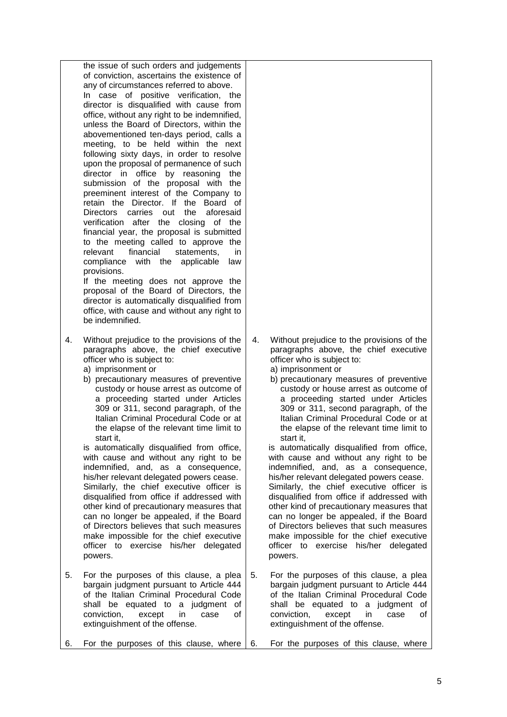|    | the issue of such orders and judgements<br>of conviction, ascertains the existence of<br>any of circumstances referred to above.<br>In case of positive verification, the<br>director is disqualified with cause from<br>office, without any right to be indemnified,<br>unless the Board of Directors, within the<br>abovementioned ten-days period, calls a<br>meeting, to be held within the next<br>following sixty days, in order to resolve<br>upon the proposal of permanence of such<br>director in office by reasoning the<br>submission of the proposal with the<br>preeminent interest of the Company to<br>retain the Director. If the Board of<br><b>Directors</b><br>carries out<br>the<br>aforesaid<br>verification after the closing of the<br>financial year, the proposal is submitted<br>to the meeting called to approve the<br>financial<br>relevant<br>statements,<br>in.<br>compliance with the applicable<br>law<br>provisions.<br>If the meeting does not approve the<br>proposal of the Board of Directors, the<br>director is automatically disqualified from<br>office, with cause and without any right to<br>be indemnified. |    |                                                                                                                                                                                                                                                                                                                                                                                                                                                                                                                                                                                                                                                                                                                                                                                                                                                                                                                        |
|----|------------------------------------------------------------------------------------------------------------------------------------------------------------------------------------------------------------------------------------------------------------------------------------------------------------------------------------------------------------------------------------------------------------------------------------------------------------------------------------------------------------------------------------------------------------------------------------------------------------------------------------------------------------------------------------------------------------------------------------------------------------------------------------------------------------------------------------------------------------------------------------------------------------------------------------------------------------------------------------------------------------------------------------------------------------------------------------------------------------------------------------------------------------|----|------------------------------------------------------------------------------------------------------------------------------------------------------------------------------------------------------------------------------------------------------------------------------------------------------------------------------------------------------------------------------------------------------------------------------------------------------------------------------------------------------------------------------------------------------------------------------------------------------------------------------------------------------------------------------------------------------------------------------------------------------------------------------------------------------------------------------------------------------------------------------------------------------------------------|
| 4. | Without prejudice to the provisions of the<br>paragraphs above, the chief executive<br>officer who is subject to:<br>a) imprisonment or<br>b) precautionary measures of preventive<br>custody or house arrest as outcome of<br>a proceeding started under Articles<br>309 or 311, second paragraph, of the<br>Italian Criminal Procedural Code or at<br>the elapse of the relevant time limit to<br>start it.<br>is automatically disqualified from office,<br>with cause and without any right to be<br>indemnified, and, as a consequence,<br>his/her relevant delegated powers cease.<br>Similarly, the chief executive officer is<br>disqualified from office if addressed with<br>other kind of precautionary measures that<br>can no longer be appealed, if the Board<br>of Directors believes that such measures<br>make impossible for the chief executive<br>officer to exercise his/her delegated<br>powers.                                                                                                                                                                                                                                     | 4. | Without prejudice to the provisions of the<br>paragraphs above, the chief executive<br>officer who is subject to:<br>a) imprisonment or<br>b) precautionary measures of preventive<br>custody or house arrest as outcome of<br>a proceeding started under Articles<br>309 or 311, second paragraph, of the<br>Italian Criminal Procedural Code or at<br>the elapse of the relevant time limit to<br>start it.<br>is automatically disqualified from office,<br>with cause and without any right to be<br>indemnified, and, as a consequence,<br>his/her relevant delegated powers cease.<br>Similarly, the chief executive officer is<br>disqualified from office if addressed with<br>other kind of precautionary measures that<br>can no longer be appealed, if the Board<br>of Directors believes that such measures<br>make impossible for the chief executive<br>officer to exercise his/her delegated<br>powers. |
| 5. | For the purposes of this clause, a plea<br>bargain judgment pursuant to Article 444<br>of the Italian Criminal Procedural Code<br>shall be equated to a judgment<br>оf<br>conviction,<br>except<br>οf<br>in<br>case<br>extinguishment of the offense.                                                                                                                                                                                                                                                                                                                                                                                                                                                                                                                                                                                                                                                                                                                                                                                                                                                                                                      | 5. | For the purposes of this clause, a plea<br>bargain judgment pursuant to Article 444<br>of the Italian Criminal Procedural Code<br>shall be equated to a judgment of<br>conviction,<br>except<br>in<br>case<br>оf<br>extinguishment of the offense.                                                                                                                                                                                                                                                                                                                                                                                                                                                                                                                                                                                                                                                                     |
| 6. | For the purposes of this clause, where                                                                                                                                                                                                                                                                                                                                                                                                                                                                                                                                                                                                                                                                                                                                                                                                                                                                                                                                                                                                                                                                                                                     | 6. | For the purposes of this clause, where                                                                                                                                                                                                                                                                                                                                                                                                                                                                                                                                                                                                                                                                                                                                                                                                                                                                                 |